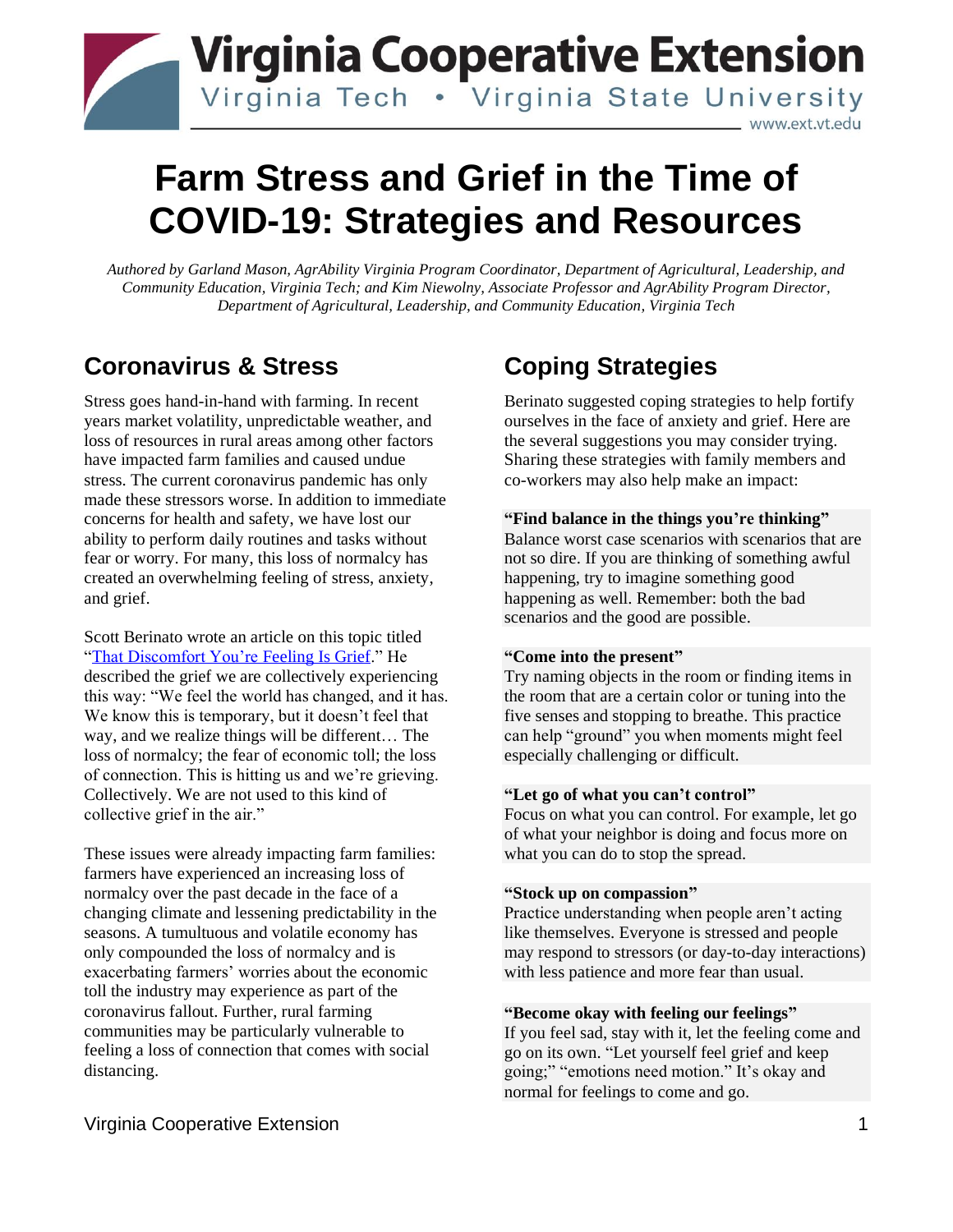# **Virginia Cooperative Extension** Virginia Tech . Virginia State University www.ext.vt.edu

# **Farm Stress and Grief in the Time of COVID-19: Strategies and Resources**

*Authored by Garland Mason, AgrAbility Virginia Program Coordinator, Department of Agricultural, Leadership, and Community Education, Virginia Tech; and Kim Niewolny, Associate Professor and AgrAbility Program Director, Department of Agricultural, Leadership, and Community Education, Virginia Tech*

# **Coronavirus & Stress**

Stress goes hand-in-hand with farming. In recent years market volatility, unpredictable weather, and loss of resources in rural areas among other factors have impacted farm families and caused undue stress. The current coronavirus pandemic has only made these stressors worse. In addition to immediate concerns for health and safety, we have lost our ability to perform daily routines and tasks without fear or worry. For many, this loss of normalcy has created an overwhelming feeling of stress, anxiety, and grief.

Scott Berinato wrote an article on this topic titled ["That Discomfort You're Feeling Is Grief.](https://hbr.org/2020/03/that-discomfort-youre-feeling-is-grief?)" He described the grief we are collectively experiencing this way: "We feel the world has changed, and it has. We know this is temporary, but it doesn't feel that way, and we realize things will be different… The loss of normalcy; the fear of economic toll; the loss of connection. This is hitting us and we're grieving. Collectively. We are not used to this kind of collective grief in the air."

These issues were already impacting farm families: farmers have experienced an increasing loss of normalcy over the past decade in the face of a changing climate and lessening predictability in the seasons. A tumultuous and volatile economy has only compounded the loss of normalcy and is exacerbating farmers' worries about the economic toll the industry may experience as part of the coronavirus fallout. Further, rural farming communities may be particularly vulnerable to feeling a loss of connection that comes with social distancing.

# not so dire. If you are thinking of something awful

happening, try to imagine something good happening as well. Remember: both the bad scenarios and the good are possible.

**"Find balance in the things you're thinking"** Balance worst case scenarios with scenarios that are

co-workers may also help make an impact:

Berinato suggested coping strategies to help fortify ourselves in the face of anxiety and grief. Here are the several suggestions you may consider trying. Sharing these strategies with family members and

### **"Come into the present"**

**Coping Strategies**

Try naming objects in the room or finding items in the room that are a certain color or tuning into the five senses and stopping to breathe. This practice can help "ground" you when moments might feel especially challenging or difficult.

### **"Let go of what you can't control"**

Focus on what you can control. For example, let go of what your neighbor is doing and focus more on what you can do to stop the spread.

#### **"Stock up on compassion"**

Practice understanding when people aren't acting like themselves. Everyone is stressed and people may respond to stressors (or day-to-day interactions) with less patience and more fear than usual.

### **"Become okay with feeling our feelings"**

If you feel sad, stay with it, let the feeling come and go on its own. "Let yourself feel grief and keep going;" "emotions need motion." It's okay and normal for feelings to come and go.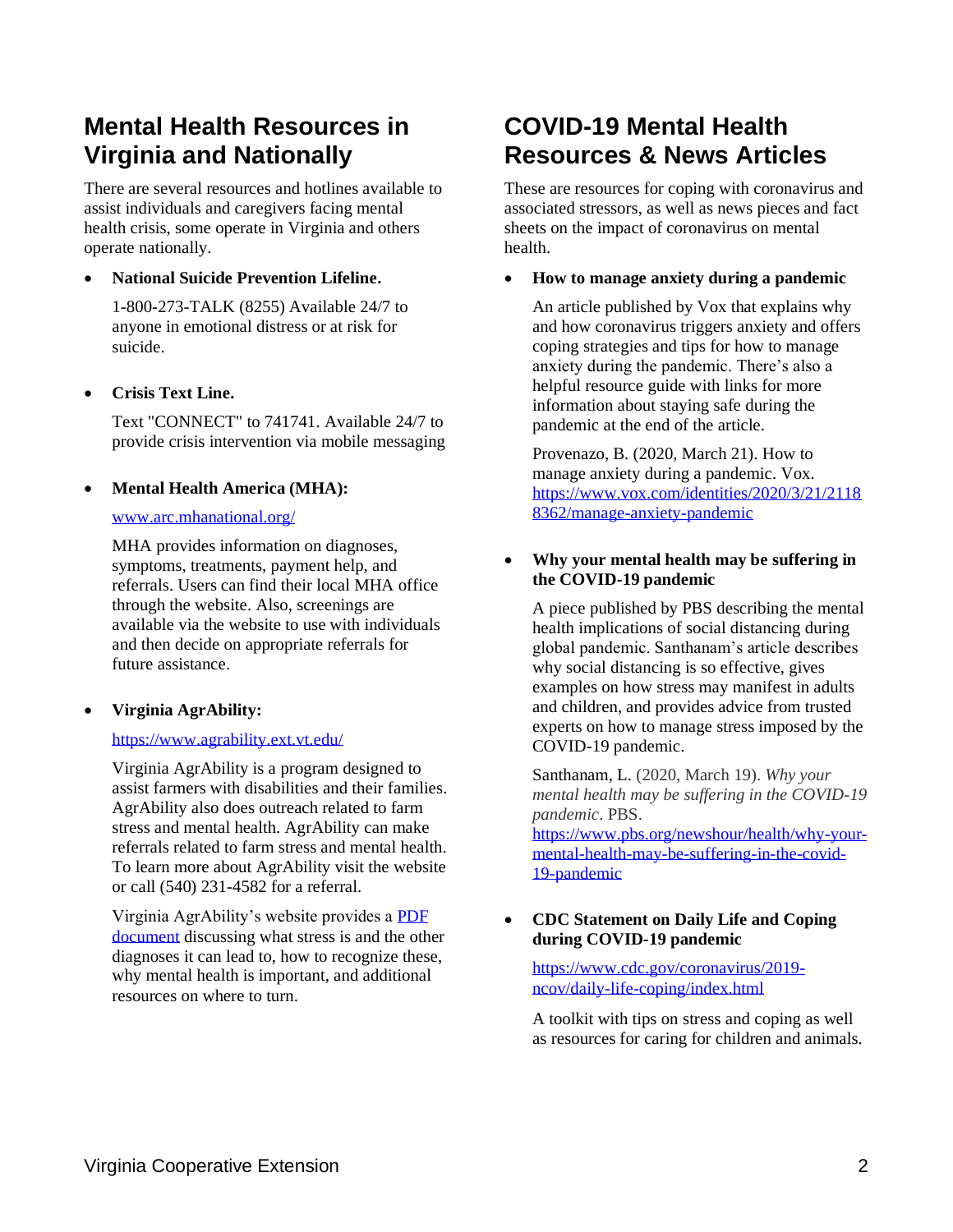# **Mental Health Resources in Virginia and Nationally**

There are several resources and hotlines available to assist individuals and caregivers facing mental health crisis, some operate in Virginia and others operate nationally.

# • **National Suicide Prevention Lifeline.**

1-800-273-TALK (8255) Available 24/7 to anyone in emotional distress or at risk for suicide.

# • **Crisis Text Line.**

Text "CONNECT" to 741741. Available 24/7 to provide crisis intervention via mobile messaging

# • **Mental Health America (MHA):**

#### [www.arc.mhanational.org/](https://arc.mhanational.org/)

MHA provides information on diagnoses, symptoms, treatments, payment help, and referrals. Users can find their local MHA office through the website. Also, screenings are available via the website to use with individuals and then decide on appropriate referrals for future assistance.

# • **Virginia AgrAbility:**

### <https://www.agrability.ext.vt.edu/>

Virginia AgrAbility is a program designed to assist farmers with disabilities and their families. AgrAbility also does outreach related to farm stress and mental health. AgrAbility can make referrals related to farm stress and mental health. To learn more about AgrAbility visit the website or call (540) 231-4582 for a referral.

Virginia AgrAbility's website provides a [PDF](http://www.pubs.ext.vt.edu/AEE/AEE-150/AEE-150.html)  [document](http://www.pubs.ext.vt.edu/AEE/AEE-150/AEE-150.html) discussing what stress is and the other diagnoses it can lead to, how to recognize these, why mental health is important, and additional resources on where to turn.

# **COVID-19 Mental Health Resources & News Articles**

These are resources for coping with coronavirus and associated stressors, as well as news pieces and fact sheets on the impact of coronavirus on mental health.

### • **How to manage anxiety during a pandemic**

An article published by Vox that explains why and how coronavirus triggers anxiety and offers coping strategies and tips for how to manage anxiety during the pandemic. There's also a helpful resource guide with links for more information about staying safe during the pandemic at the end of the article.

Provenazo, B. (2020, March 21). How to manage anxiety during a pandemic. Vox. [https://www.vox.com/identities/2020/3/21/2118](https://www.vox.com/identities/2020/3/21/21188362/manage-anxiety-pandemic) [8362/manage-anxiety-pandemic](https://www.vox.com/identities/2020/3/21/21188362/manage-anxiety-pandemic)

### • **Why your mental health may be suffering in the COVID-19 pandemic**

A piece published by PBS describing the mental health implications of social distancing during global pandemic. Santhanam's article describes why social distancing is so effective, gives examples on how stress may manifest in adults and children, and provides advice from trusted experts on how to manage stress imposed by the COVID-19 pandemic.

Santhanam, L. (2020, March 19). *Why your mental health may be suffering in the COVID-19 pandemic*. PBS.

[https://www.pbs.org/newshour/health/why-your](https://www.pbs.org/newshour/health/why-your-mental-health-may-be-suffering-in-the-covid-19-pandemic)[mental-health-may-be-suffering-in-the-covid-](https://www.pbs.org/newshour/health/why-your-mental-health-may-be-suffering-in-the-covid-19-pandemic)[19-pandemic](https://www.pbs.org/newshour/health/why-your-mental-health-may-be-suffering-in-the-covid-19-pandemic)

### • **CDC Statement on Daily Life and Coping during COVID-19 pandemic**

[https://www.cdc.gov/coronavirus/2019](https://www.cdc.gov/coronavirus/2019-ncov/daily-life-coping/index.html) [ncov/daily-life-coping/index.html](https://www.cdc.gov/coronavirus/2019-ncov/daily-life-coping/index.html)

A toolkit with tips on stress and coping as well as resources for caring for children and animals.